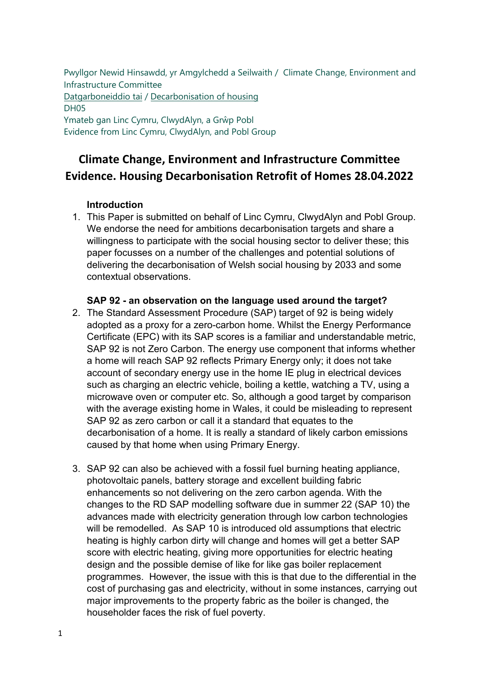Pwyllgor Newid Hinsawdd, yr Amgylchedd a Seilwaith / Climate Change, Environment and [Infrastructure Comm](https://busnes.senedd.cymru/mgIssueHistoryHome.aspx?IId=39102)[ittee](https://business.senedd.wales/mgIssueHistoryHome.aspx?IId=39102)  Datgarboneiddio tai / Decarbonisation of housing DH05 Ymateb gan Linc Cymru, ClwydAlyn, a Grŵp Pobl Evidence from Linc Cymru, ClwydAlyn, and Pobl Group

# **Climate Change, Environment and Infrastructure Committee Evidence. Housing Decarbonisation Retrofit of Homes 28.04.2022**

## **Introduction**

1. This Paper is submitted on behalf of Linc Cymru, ClwydAlyn and Pobl Group. We endorse the need for ambitions decarbonisation targets and share a willingness to participate with the social housing sector to deliver these; this paper focusses on a number of the challenges and potential solutions of delivering the decarbonisation of Welsh social housing by 2033 and some contextual observations.

## **SAP 92 - an observation on the language used around the target?**

- 2. The Standard Assessment Procedure (SAP) target of 92 is being widely adopted as a proxy for a zero-carbon home. Whilst the Energy Performance Certificate (EPC) with its SAP scores is a familiar and understandable metric, SAP 92 is not Zero Carbon. The energy use component that informs whether a home will reach SAP 92 reflects Primary Energy only; it does not take account of secondary energy use in the home IE plug in electrical devices such as charging an electric vehicle, boiling a kettle, watching a TV, using a microwave oven or computer etc. So, although a good target by comparison with the average existing home in Wales, it could be misleading to represent SAP 92 as zero carbon or call it a standard that equates to the decarbonisation of a home. It is really a standard of likely carbon emissions caused by that home when using Primary Energy.
- 3. SAP 92 can also be achieved with a fossil fuel burning heating appliance, photovoltaic panels, battery storage and excellent building fabric enhancements so not delivering on the zero carbon agenda. With the changes to the RD SAP modelling software due in summer 22 (SAP 10) the advances made with electricity generation through low carbon technologies will be remodelled. As SAP 10 is introduced old assumptions that electric heating is highly carbon dirty will change and homes will get a better SAP score with electric heating, giving more opportunities for electric heating design and the possible demise of like for like gas boiler replacement programmes. However, the issue with this is that due to the differential in the cost of purchasing gas and electricity, without in some instances, carrying out major improvements to the property fabric as the boiler is changed, the householder faces the risk of fuel poverty.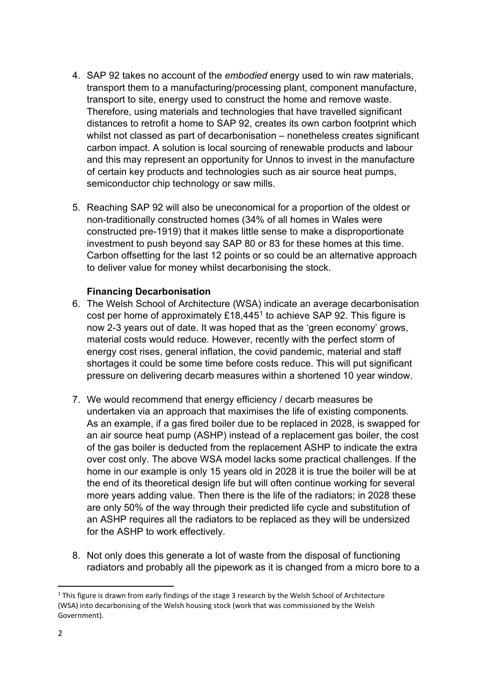- 4. SAP 92 takes no account of the *embodied* energy used to win raw materials, transport them to a manufacturing/processing plant, component manufacture, transport to site, energy used to construct the home and remove waste. Therefore, using materials and technologies that have travelled significant distances to retrofit a home to SAP 92, creates its own carbon footprint which whilst not classed as part of decarbonisation – nonetheless creates significant carbon impact. A solution is local sourcing of renewable products and labour and this may represent an opportunity for Unnos to invest in the manufacture of certain key products and technologies such as air source heat pumps, semiconductor chip technology or saw mills.
- 5. Reaching SAP 92 will also be uneconomical for a proportion of the oldest or non-traditionally constructed homes (34% of all homes in Wales were constructed pre-1919) that it makes little sense to make a disproportionate investment to push beyond say SAP 80 or 83 for these homes at this time. Carbon offsetting for the last 12 points or so could be an alternative approach to deliver value for money whilst decarbonising the stock.

## **Financing Decarbonisation**

- 6. The Welsh School of Architecture (WSA) indicate an average decarbonisation cost per home of approximately  $£18,445<sup>1</sup>$  $£18,445<sup>1</sup>$  $£18,445<sup>1</sup>$  to achieve SAP 92. This figure is now 2-3 years out of date. It was hoped that as the 'green economy' grows, material costs would reduce. However, recently with the perfect storm of energy cost rises, general inflation, the covid pandemic, material and staff shortages it could be some time before costs reduce. This will put significant pressure on delivering decarb measures within a shortened 10 year window.
- 7. We would recommend that energy efficiency / decarb measures be undertaken via an approach that maximises the life of existing components. As an example, if a gas fired boiler due to be replaced in 2028, is swapped for an air source heat pump (ASHP) instead of a replacement gas boiler, the cost of the gas boiler is deducted from the replacement ASHP to indicate the extra over cost only. The above WSA model lacks some practical challenges. If the home in our example is only 15 years old in 2028 it is true the boiler will be at the end of its theoretical design life but will often continue working for several more years adding value. Then there is the life of the radiators; in 2028 these are only 50% of the way through their predicted life cycle and substitution of an ASHP requires all the radiators to be replaced as they will be undersized for the ASHP to work effectively.
- 8. Not only does this generate a lot of waste from the disposal of functioning radiators and probably all the pipework as it is changed from a micro bore to a

<span id="page-1-0"></span> $1$  This figure is drawn from early findings of the stage 3 research by the Welsh School of Architecture (WSA) into decarbonising of the Welsh housing stock (work that was commissioned by the Welsh Government).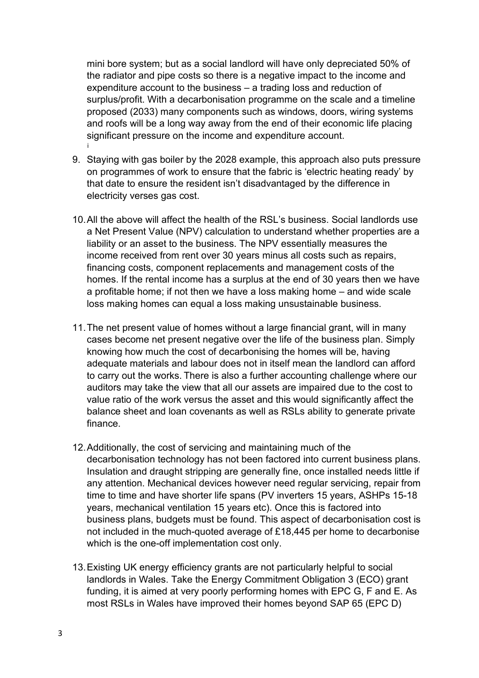mini bore system; but as a social landlord will have only depreciated 50% of the radiator and pipe costs so there is a negative impact to the income and expenditure account to the business – a trading loss and reduction of surplus/profit. With a decarbonisation programme on the scale and a timeline proposed (2033) many components such as windows, doors, wiring systems and roofs will be a long way away from the end of their economic life placing significant pressure on the income and expenditure account. [i](#page-8-0)

- 9. Staying with gas boiler by the 2028 example, this approach also puts pressure on programmes of work to ensure that the fabric is 'electric heating ready' by that date to ensure the resident isn't disadvantaged by the difference in electricity verses gas cost.
- 10.All the above will affect the health of the RSL's business. Social landlords use a Net Present Value (NPV) calculation to understand whether properties are a liability or an asset to the business. The NPV essentially measures the income received from rent over 30 years minus all costs such as repairs, financing costs, component replacements and management costs of the homes. If the rental income has a surplus at the end of 30 years then we have a profitable home; if not then we have a loss making home – and wide scale loss making homes can equal a loss making unsustainable business.
- 11.The net present value of homes without a large financial grant, will in many cases become net present negative over the life of the business plan. Simply knowing how much the cost of decarbonising the homes will be, having adequate materials and labour does not in itself mean the landlord can afford to carry out the works. There is also a further accounting challenge where our auditors may take the view that all our assets are impaired due to the cost to value ratio of the work versus the asset and this would significantly affect the balance sheet and loan covenants as well as RSLs ability to generate private finance.
- 12.Additionally, the cost of servicing and maintaining much of the decarbonisation technology has not been factored into current business plans. Insulation and draught stripping are generally fine, once installed needs little if any attention. Mechanical devices however need regular servicing, repair from time to time and have shorter life spans (PV inverters 15 years, ASHPs 15-18 years, mechanical ventilation 15 years etc). Once this is factored into business plans, budgets must be found. This aspect of decarbonisation cost is not included in the much-quoted average of £18,445 per home to decarbonise which is the one-off implementation cost only.
- 13.Existing UK energy efficiency grants are not particularly helpful to social landlords in Wales. Take the Energy Commitment Obligation 3 (ECO) grant funding, it is aimed at very poorly performing homes with EPC G, F and E. As most RSLs in Wales have improved their homes beyond SAP 65 (EPC D)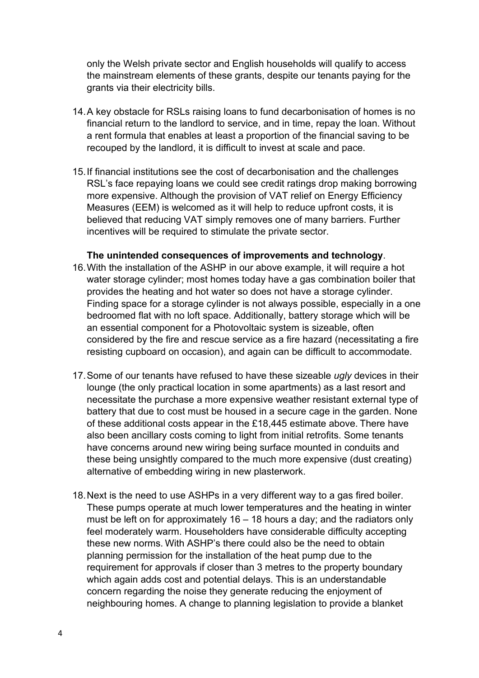only the Welsh private sector and English households will qualify to access the mainstream elements of these grants, despite our tenants paying for the grants via their electricity bills.

- 14.A key obstacle for RSLs raising loans to fund decarbonisation of homes is no financial return to the landlord to service, and in time, repay the loan. Without a rent formula that enables at least a proportion of the financial saving to be recouped by the landlord, it is difficult to invest at scale and pace.
- 15.If financial institutions see the cost of decarbonisation and the challenges RSL's face repaying loans we could see credit ratings drop making borrowing more expensive. Although the provision of VAT relief on Energy Efficiency Measures (EEM) is welcomed as it will help to reduce upfront costs, it is believed that reducing VAT simply removes one of many barriers. Further incentives will be required to stimulate the private sector.

#### **The unintended consequences of improvements and technology**.

- 16.With the installation of the ASHP in our above example, it will require a hot water storage cylinder; most homes today have a gas combination boiler that provides the heating and hot water so does not have a storage cylinder. Finding space for a storage cylinder is not always possible, especially in a one bedroomed flat with no loft space. Additionally, battery storage which will be an essential component for a Photovoltaic system is sizeable, often considered by the fire and rescue service as a fire hazard (necessitating a fire resisting cupboard on occasion), and again can be difficult to accommodate.
- 17.Some of our tenants have refused to have these sizeable *ugly* devices in their lounge (the only practical location in some apartments) as a last resort and necessitate the purchase a more expensive weather resistant external type of battery that due to cost must be housed in a secure cage in the garden. None of these additional costs appear in the £18,445 estimate above. There have also been ancillary costs coming to light from initial retrofits. Some tenants have concerns around new wiring being surface mounted in conduits and these being unsightly compared to the much more expensive (dust creating) alternative of embedding wiring in new plasterwork.
- 18.Next is the need to use ASHPs in a very different way to a gas fired boiler. These pumps operate at much lower temperatures and the heating in winter must be left on for approximately  $16 - 18$  hours a day; and the radiators only feel moderately warm. Householders have considerable difficulty accepting these new norms. With ASHP's there could also be the need to obtain planning permission for the installation of the heat pump due to the requirement for approvals if closer than 3 metres to the property boundary which again adds cost and potential delays. This is an understandable concern regarding the noise they generate reducing the enjoyment of neighbouring homes. A change to planning legislation to provide a blanket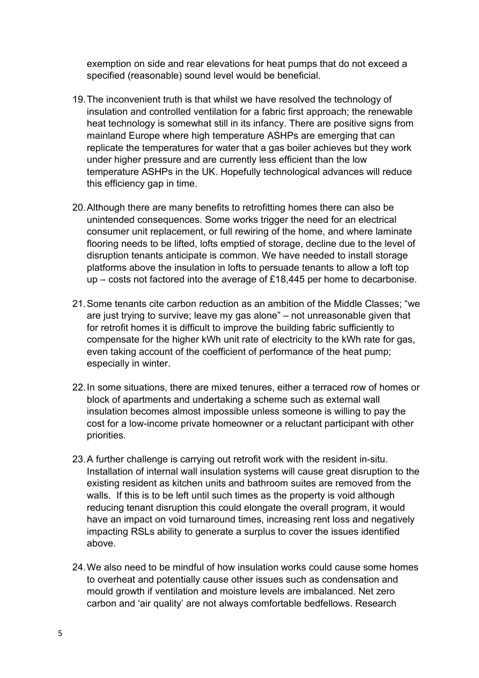exemption on side and rear elevations for heat pumps that do not exceed a specified (reasonable) sound level would be beneficial.

- 19.The inconvenient truth is that whilst we have resolved the technology of insulation and controlled ventilation for a fabric first approach; the renewable heat technology is somewhat still in its infancy. There are positive signs from mainland Europe where high temperature ASHPs are emerging that can replicate the temperatures for water that a gas boiler achieves but they work under higher pressure and are currently less efficient than the low temperature ASHPs in the UK. Hopefully technological advances will reduce this efficiency gap in time.
- 20.Although there are many benefits to retrofitting homes there can also be unintended consequences. Some works trigger the need for an electrical consumer unit replacement, or full rewiring of the home, and where laminate flooring needs to be lifted, lofts emptied of storage, decline due to the level of disruption tenants anticipate is common. We have needed to install storage platforms above the insulation in lofts to persuade tenants to allow a loft top up – costs not factored into the average of £18,445 per home to decarbonise.
- 21.Some tenants cite carbon reduction as an ambition of the Middle Classes; "we are just trying to survive; leave my gas alone" – not unreasonable given that for retrofit homes it is difficult to improve the building fabric sufficiently to compensate for the higher kWh unit rate of electricity to the kWh rate for gas, even taking account of the coefficient of performance of the heat pump; especially in winter.
- 22.In some situations, there are mixed tenures, either a terraced row of homes or block of apartments and undertaking a scheme such as external wall insulation becomes almost impossible unless someone is willing to pay the cost for a low-income private homeowner or a reluctant participant with other priorities.
- 23.A further challenge is carrying out retrofit work with the resident in-situ. Installation of internal wall insulation systems will cause great disruption to the existing resident as kitchen units and bathroom suites are removed from the walls. If this is to be left until such times as the property is void although reducing tenant disruption this could elongate the overall program, it would have an impact on void turnaround times, increasing rent loss and negatively impacting RSLs ability to generate a surplus to cover the issues identified above.
- 24.We also need to be mindful of how insulation works could cause some homes to overheat and potentially cause other issues such as condensation and mould growth if ventilation and moisture levels are imbalanced. Net zero carbon and 'air quality' are not always comfortable bedfellows. Research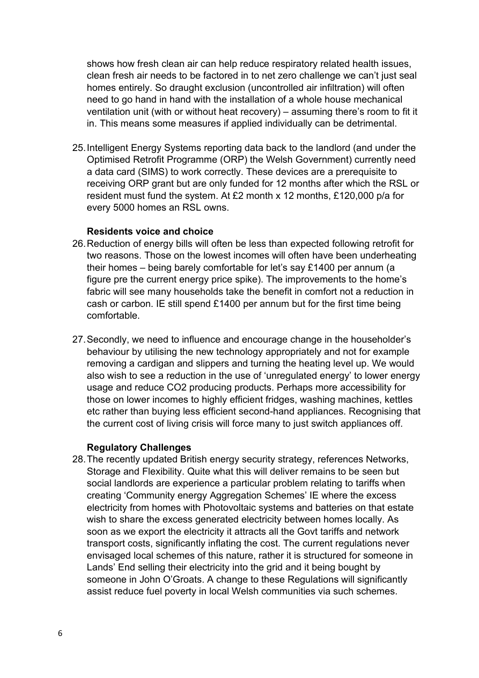shows how fresh clean air can help reduce respiratory related health issues, clean fresh air needs to be factored in to net zero challenge we can't just seal homes entirely. So draught exclusion (uncontrolled air infiltration) will often need to go hand in hand with the installation of a whole house mechanical ventilation unit (with or without heat recovery) – assuming there's room to fit it in. This means some measures if applied individually can be detrimental.

25.Intelligent Energy Systems reporting data back to the landlord (and under the Optimised Retrofit Programme (ORP) the Welsh Government) currently need a data card (SIMS) to work correctly. These devices are a prerequisite to receiving ORP grant but are only funded for 12 months after which the RSL or resident must fund the system. At £2 month x 12 months, £120,000 p/a for every 5000 homes an RSL owns.

#### **Residents voice and choice**

- 26.Reduction of energy bills will often be less than expected following retrofit for two reasons. Those on the lowest incomes will often have been underheating their homes – being barely comfortable for let's say £1400 per annum (a figure pre the current energy price spike). The improvements to the home's fabric will see many households take the benefit in comfort not a reduction in cash or carbon. IE still spend £1400 per annum but for the first time being comfortable.
- 27.Secondly, we need to influence and encourage change in the householder's behaviour by utilising the new technology appropriately and not for example removing a cardigan and slippers and turning the heating level up. We would also wish to see a reduction in the use of 'unregulated energy' to lower energy usage and reduce CO2 producing products. Perhaps more accessibility for those on lower incomes to highly efficient fridges, washing machines, kettles etc rather than buying less efficient second-hand appliances. Recognising that the current cost of living crisis will force many to just switch appliances off.

# **Regulatory Challenges**

28.The recently updated British energy security strategy, references Networks, Storage and Flexibility. Quite what this will deliver remains to be seen but social landlords are experience a particular problem relating to tariffs when creating 'Community energy Aggregation Schemes' IE where the excess electricity from homes with Photovoltaic systems and batteries on that estate wish to share the excess generated electricity between homes locally. As soon as we export the electricity it attracts all the Govt tariffs and network transport costs, significantly inflating the cost. The current regulations never envisaged local schemes of this nature, rather it is structured for someone in Lands' End selling their electricity into the grid and it being bought by someone in John O'Groats. A change to these Regulations will significantly assist reduce fuel poverty in local Welsh communities via such schemes.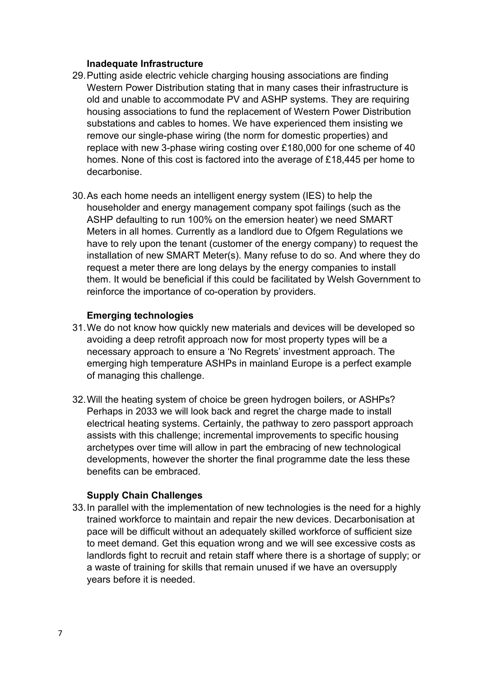#### **Inadequate Infrastructure**

- 29.Putting aside electric vehicle charging housing associations are finding Western Power Distribution stating that in many cases their infrastructure is old and unable to accommodate PV and ASHP systems. They are requiring housing associations to fund the replacement of Western Power Distribution substations and cables to homes. We have experienced them insisting we remove our single-phase wiring (the norm for domestic properties) and replace with new 3-phase wiring costing over £180,000 for one scheme of 40 homes. None of this cost is factored into the average of £18,445 per home to decarbonise.
- 30.As each home needs an intelligent energy system (IES) to help the householder and energy management company spot failings (such as the ASHP defaulting to run 100% on the emersion heater) we need SMART Meters in all homes. Currently as a landlord due to Ofgem Regulations we have to rely upon the tenant (customer of the energy company) to request the installation of new SMART Meter(s). Many refuse to do so. And where they do request a meter there are long delays by the energy companies to install them. It would be beneficial if this could be facilitated by Welsh Government to reinforce the importance of co-operation by providers.

## **Emerging technologies**

- 31.We do not know how quickly new materials and devices will be developed so avoiding a deep retrofit approach now for most property types will be a necessary approach to ensure a 'No Regrets' investment approach. The emerging high temperature ASHPs in mainland Europe is a perfect example of managing this challenge.
- 32.Will the heating system of choice be green hydrogen boilers, or ASHPs? Perhaps in 2033 we will look back and regret the charge made to install electrical heating systems. Certainly, the pathway to zero passport approach assists with this challenge; incremental improvements to specific housing archetypes over time will allow in part the embracing of new technological developments, however the shorter the final programme date the less these benefits can be embraced.

## **Supply Chain Challenges**

33.In parallel with the implementation of new technologies is the need for a highly trained workforce to maintain and repair the new devices. Decarbonisation at pace will be difficult without an adequately skilled workforce of sufficient size to meet demand. Get this equation wrong and we will see excessive costs as landlords fight to recruit and retain staff where there is a shortage of supply; or a waste of training for skills that remain unused if we have an oversupply years before it is needed.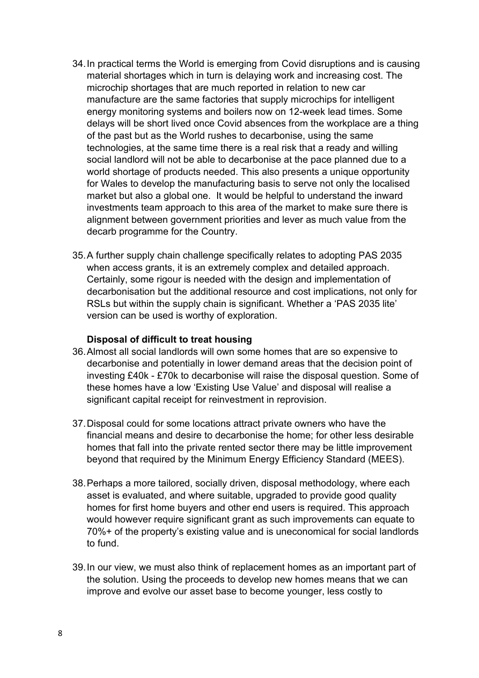- 34.In practical terms the World is emerging from Covid disruptions and is causing material shortages which in turn is delaying work and increasing cost. The microchip shortages that are much reported in relation to new car manufacture are the same factories that supply microchips for intelligent energy monitoring systems and boilers now on 12-week lead times. Some delays will be short lived once Covid absences from the workplace are a thing of the past but as the World rushes to decarbonise, using the same technologies, at the same time there is a real risk that a ready and willing social landlord will not be able to decarbonise at the pace planned due to a world shortage of products needed. This also presents a unique opportunity for Wales to develop the manufacturing basis to serve not only the localised market but also a global one. It would be helpful to understand the inward investments team approach to this area of the market to make sure there is alignment between government priorities and lever as much value from the decarb programme for the Country.
- 35.A further supply chain challenge specifically relates to adopting PAS 2035 when access grants, it is an extremely complex and detailed approach. Certainly, some rigour is needed with the design and implementation of decarbonisation but the additional resource and cost implications, not only for RSLs but within the supply chain is significant. Whether a 'PAS 2035 lite' version can be used is worthy of exploration.

#### **Disposal of difficult to treat housing**

- 36.Almost all social landlords will own some homes that are so expensive to decarbonise and potentially in lower demand areas that the decision point of investing £40k - £70k to decarbonise will raise the disposal question. Some of these homes have a low 'Existing Use Value' and disposal will realise a significant capital receipt for reinvestment in reprovision.
- 37.Disposal could for some locations attract private owners who have the financial means and desire to decarbonise the home; for other less desirable homes that fall into the private rented sector there may be little improvement beyond that required by the Minimum Energy Efficiency Standard (MEES).
- 38.Perhaps a more tailored, socially driven, disposal methodology, where each asset is evaluated, and where suitable, upgraded to provide good quality homes for first home buyers and other end users is required. This approach would however require significant grant as such improvements can equate to 70%+ of the property's existing value and is uneconomical for social landlords to fund.
- 39.In our view, we must also think of replacement homes as an important part of the solution. Using the proceeds to develop new homes means that we can improve and evolve our asset base to become younger, less costly to